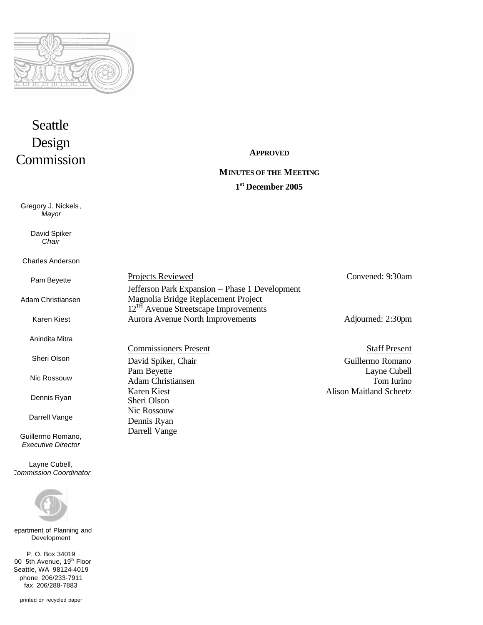

# Seattle Design Commission

Gregory J. Nickels, *Mayor*

> David Spiker *Chair*

#### Charles Anderson

Pam Beyette

Adam Christiansen

Karen Kiest

Anindita Mitra

Sheri Olson

Nic Rossouw

Dennis Ryan

Darrell Vange

Guillermo Romano, *Executive Director*

Layne Cubell, *Commission Coordinator*



epartment of Planning and Development

P. O. Box 34019 00 5th Avenue, 19th Floor Seattle, WA 98124-4019 phone 206/233-7911 fax 206/288-7883

**APPROVED**

# **MINUTES OF THE MEETING**

# **1 st December 2005**

| <b>Projects Reviewed</b>                         | Convened: 9:30am  |
|--------------------------------------------------|-------------------|
| Jefferson Park Expansion - Phase 1 Development   |                   |
| Magnolia Bridge Replacement Project              |                   |
| 12 <sup>TH</sup> Avenue Streetscape Improvements |                   |
| <b>Aurora Avenue North Improvements</b>          | Adjourned: 2:30pm |
|                                                  |                   |

Sheri Olson Nic Rossouw Dennis Ryan Darrell Vange

Commissioners Present Staff Present David Spiker, Chair Guillermo Romano Pam Beyette Layne Cubell Adam Christiansen Tom Iurino Karen Kiest **Alison Maitland Scheetz** 

printed on recycled paper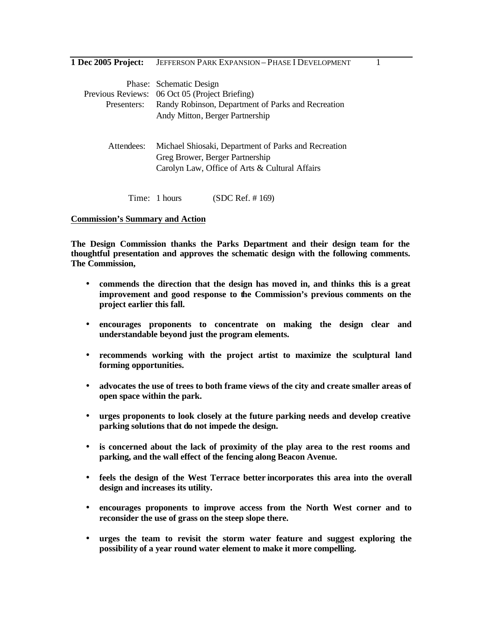**1 Dec 2005 Project:** JEFFERSON PARK EXPANSION – PHASE I DEVELOPMENT 1

|             | Phase: Schematic Design                              |  |  |
|-------------|------------------------------------------------------|--|--|
|             | Previous Reviews: 06 Oct 05 (Project Briefing)       |  |  |
| Presenters: | Randy Robinson, Department of Parks and Recreation   |  |  |
|             | Andy Mitton, Berger Partnership                      |  |  |
|             |                                                      |  |  |
| Attendees:  | Michael Shiosaki, Department of Parks and Recreation |  |  |
|             | Greg Brower, Berger Partnership                      |  |  |
|             | Carolyn Law, Office of Arts & Cultural Affairs       |  |  |
|             |                                                      |  |  |
|             | (SDC Ref. #169)<br>Time: 1 hours                     |  |  |

#### **Commission's Summary and Action**

**The Design Commission thanks the Parks Department and their design team for the thoughtful presentation and approves the schematic design with the following comments. The Commission,**

- **commends the direction that the design has moved in, and thinks this is a great improvement and good response to the Commission's previous comments on the project earlier this fall.**
- **encourages proponents to concentrate on making the design clear and understandable beyond just the program elements.**
- **recommends working with the project artist to maximize the sculptural land forming opportunities.**
- **advocates the use of trees to both frame views of the city and create smaller areas of open space within the park.**
- **urges proponents to look closely at the future parking needs and develop creative parking solutions that do not impede the design.**
- **is concerned about the lack of proximity of the play area to the rest rooms and parking, and the wall effect of the fencing along Beacon Avenue.**
- **feels the design of the West Terrace better incorporates this area into the overall design and increases its utility.**
- **encourages proponents to improve access from the North West corner and to reconsider the use of grass on the steep slope there.**
- **urges the team to revisit the storm water feature and suggest exploring the possibility of a year round water element to make it more compelling.**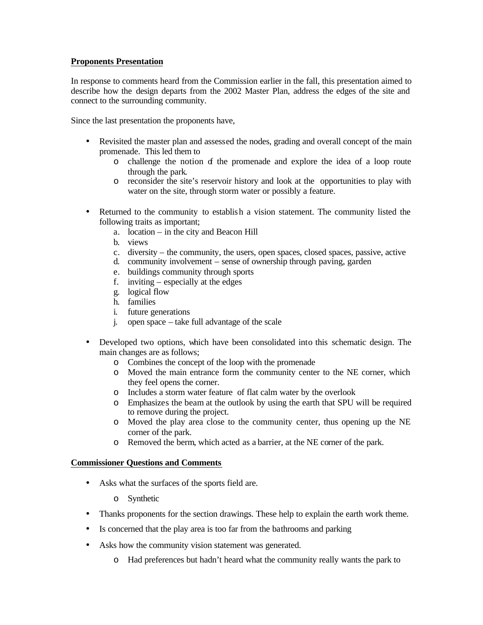# **Proponents Presentation**

In response to comments heard from the Commission earlier in the fall, this presentation aimed to describe how the design departs from the 2002 Master Plan, address the edges of the site and connect to the surrounding community.

Since the last presentation the proponents have,

- Revisited the master plan and assessed the nodes, grading and overall concept of the main promenade. This led them to
	- o challenge the notion of the promenade and explore the idea of a loop route through the park.
	- o reconsider the site's reservoir history and look at the opportunities to play with water on the site, through storm water or possibly a feature.
- Returned to the community to establish a vision statement. The community listed the following traits as important;
	- a. location in the city and Beacon Hill
	- b. views
	- c. diversity the community, the users, open spaces, closed spaces, passive, active
	- d. community involvement sense of ownership through paving, garden
	- e. buildings community through sports
	- f. inviting especially at the edges
	- g. logical flow
	- h. families
	- i. future generations
	- j. open space take full advantage of the scale
- Developed two options, which have been consolidated into this schematic design. The main changes are as follows;
	- o Combines the concept of the loop with the promenade
	- o Moved the main entrance form the community center to the NE corner, which they feel opens the corner.
	- o Includes a storm water feature of flat calm water by the overlook
	- o Emphasizes the beam at the outlook by using the earth that SPU will be required to remove during the project.
	- o Moved the play area close to the community center, thus opening up the NE corner of the park.
	- o Removed the berm, which acted as a barrier, at the NE corner of the park.

- Asks what the surfaces of the sports field are.
	- o Synthetic
- Thanks proponents for the section drawings. These help to explain the earth work theme.
- Is concerned that the play area is too far from the bathrooms and parking
- Asks how the community vision statement was generated.
	- o Had preferences but hadn't heard what the community really wants the park to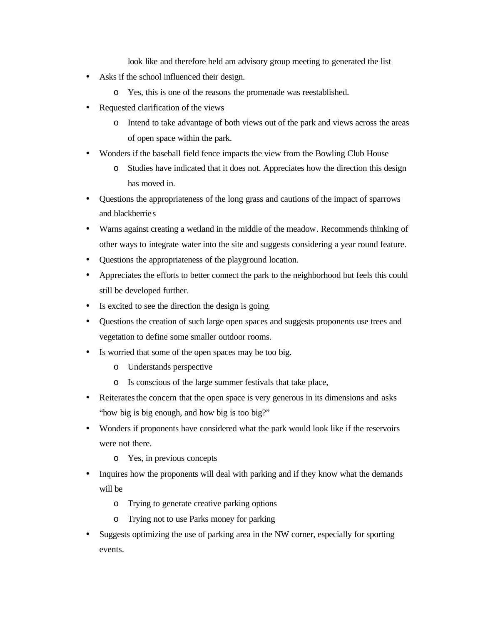look like and therefore held am advisory group meeting to generated the list

- Asks if the school influenced their design.
	- o Yes, this is one of the reasons the promenade was reestablished.
- Requested clarification of the views
	- o Intend to take advantage of both views out of the park and views across the areas of open space within the park.
- Wonders if the baseball field fence impacts the view from the Bowling Club House
	- o Studies have indicated that it does not. Appreciates how the direction this design has moved in.
- Questions the appropriateness of the long grass and cautions of the impact of sparrows and blackberries
- Warns against creating a wetland in the middle of the meadow. Recommends thinking of other ways to integrate water into the site and suggests considering a year round feature.
- Questions the appropriateness of the playground location.
- Appreciates the efforts to better connect the park to the neighborhood but feels this could still be developed further.
- Is excited to see the direction the design is going.
- Questions the creation of such large open spaces and suggests proponents use trees and vegetation to define some smaller outdoor rooms.
- Is worried that some of the open spaces may be too big.
	- o Understands perspective
	- o Is conscious of the large summer festivals that take place,
- Reiterates the concern that the open space is very generous in its dimensions and asks "how big is big enough, and how big is too big?"
- Wonders if proponents have considered what the park would look like if the reservoirs were not there.
	- o Yes, in previous concepts
- Inquires how the proponents will deal with parking and if they know what the demands will be
	- o Trying to generate creative parking options
	- o Trying not to use Parks money for parking
- Suggests optimizing the use of parking area in the NW corner, especially for sporting events.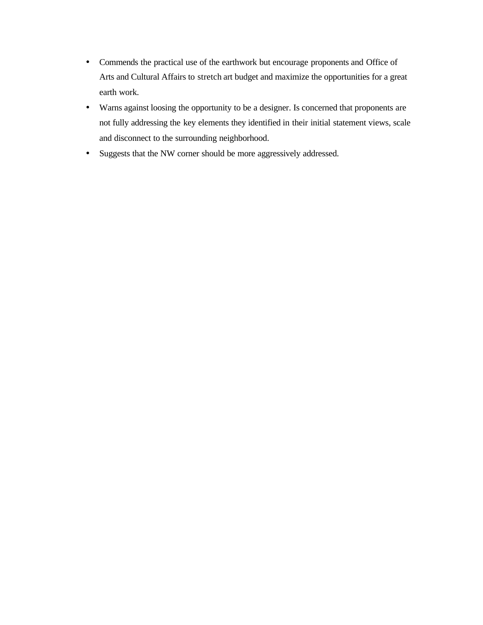- Commends the practical use of the earthwork but encourage proponents and Office of Arts and Cultural Affairs to stretch art budget and maximize the opportunities for a great earth work.
- Warns against loosing the opportunity to be a designer. Is concerned that proponents are not fully addressing the key elements they identified in their initial statement views, scale and disconnect to the surrounding neighborhood.
- Suggests that the NW corner should be more aggressively addressed.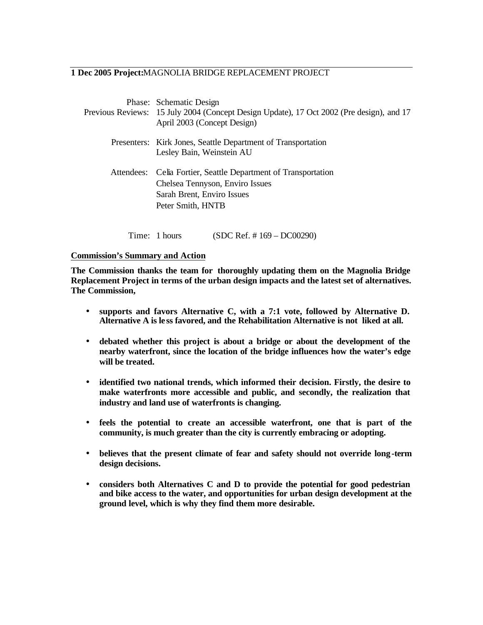#### **1 Dec 2005 Project:**MAGNOLIA BRIDGE REPLACEMENT PROJECT

|            | Phase: Schematic Design<br>Previous Reviews: 15 July 2004 (Concept Design Update), 17 Oct 2002 (Pre design), and 17<br>April 2003 (Concept Design) |
|------------|----------------------------------------------------------------------------------------------------------------------------------------------------|
|            | Presenters: Kirk Jones, Seattle Department of Transportation<br>Lesley Bain, Weinstein AU                                                          |
| Attendees: | Celia Fortier, Seattle Department of Transportation<br>Chelsea Tennyson, Enviro Issues<br>Sarah Brent, Enviro Issues<br>Peter Smith, HNTB          |

Time: 1 hours (SDC Ref. # 169 – DC00290)

#### **Commission's Summary and Action**

**The Commission thanks the team for thoroughly updating them on the Magnolia Bridge Replacement Project in terms of the urban design impacts and the latest set of alternatives. The Commission,**

- **supports and favors Alternative C, with a 7:1 vote, followed by Alternative D. Alternative A is le ss favored, and the Rehabilitation Alternative is not liked at all.**
- **debated whether this project is about a bridge or about the development of the nearby waterfront, since the location of the bridge influences how the water's edge will be treated.**
- **identified two national trends, which informed their decision. Firstly, the desire to**  make waterfronts more accessible and public, and secondly, the realization that **industry and land use of waterfronts is changing.**
- **feels the potential to create an accessible waterfront, one that is part of the community, is much greater than the city is currently embracing or adopting.**
- **believes that the present climate of fear and safety should not override long-term design decisions.**
- **considers both Alternatives C and D to provide the potential for good pedestrian and bike access to the water, and opportunities for urban design development at the ground level, which is why they find them more desirable.**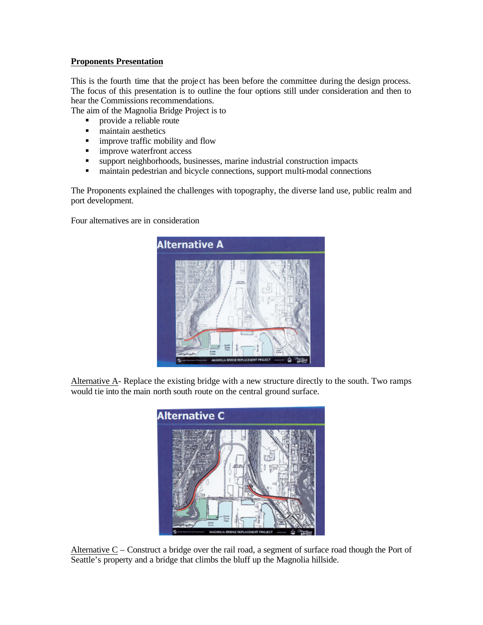## **Proponents Presentation**

This is the fourth time that the project has been before the committee during the design process. The focus of this presentation is to outline the four options still under consideration and then to hear the Commissions recommendations.

The aim of the Magnolia Bridge Project is to

- **•** provide a reliable route
- **maintain aesthetics**
- **n** improve traffic mobility and flow
- **n** improve waterfront access
- ß support neighborhoods, businesses, marine industrial construction impacts
- maintain pedestrian and bicycle connections, support multi-modal connections

The Proponents explained the challenges with topography, the diverse land use, public realm and port development.

Four alternatives are in consideration



Alternative A- Replace the existing bridge with a new structure directly to the south. Two ramps would tie into the main north south route on the central ground surface.



Alternative C – Construct a bridge over the rail road, a segment of surface road though the Port of Seattle's property and a bridge that climbs the bluff up the Magnolia hillside.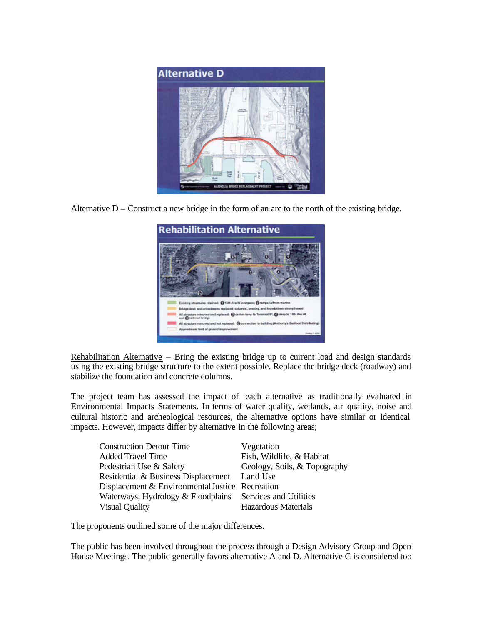

Alternative D – Construct a new bridge in the form of an arc to the north of the existing bridge.



Rehabilitation Alternative – Bring the existing bridge up to current load and design standards using the existing bridge structure to the extent possible. Replace the bridge deck (roadway) and stabilize the foundation and concrete columns.

The project team has assessed the impact of each alternative as traditionally evaluated in Environmental Impacts Statements. In terms of water quality, wetlands, air quality, noise and cultural historic and archeological resources, the alternative options have similar or identical impacts. However, impacts differ by alternative in the following areas;

| <b>Construction Detour Time</b>                 | Vegetation                   |
|-------------------------------------------------|------------------------------|
| <b>Added Travel Time</b>                        | Fish, Wildlife, & Habitat    |
| Pedestrian Use & Safety                         | Geology, Soils, & Topography |
| Residential & Business Displacement Land Use    |                              |
| Displacement & Environmental Justice Recreation |                              |
| Waterways, Hydrology & Floodplains              | Services and Utilities       |
| <b>Visual Quality</b>                           | <b>Hazardous Materials</b>   |

The proponents outlined some of the major differences.

The public has been involved throughout the process through a Design Advisory Group and Open House Meetings. The public generally favors alternative A and D. Alternative C is considered too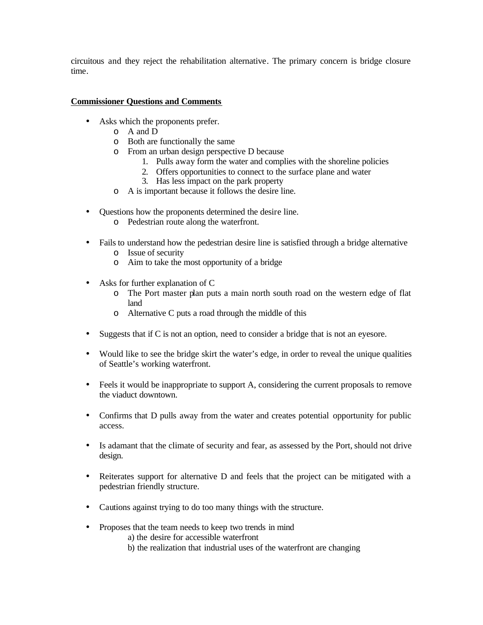circuitous and they reject the rehabilitation alternative. The primary concern is bridge closure time.

- Asks which the proponents prefer.
	- o A and D
	- o Both are functionally the same
	- o From an urban design perspective D because
		- 1. Pulls away form the water and complies with the shoreline policies
		- 2. Offers opportunities to connect to the surface plane and water
		- 3. Has less impact on the park property
	- o A is important because it follows the desire line.
- Questions how the proponents determined the desire line.
	- o Pedestrian route along the waterfront.
- Fails to understand how the pedestrian desire line is satisfied through a bridge alternative
	- o Issue of security
	- o Aim to take the most opportunity of a bridge
- Asks for further explanation of C
	- o The Port master plan puts a main north south road on the western edge of flat land
	- o Alternative C puts a road through the middle of this
- Suggests that if C is not an option, need to consider a bridge that is not an eyesore.
- Would like to see the bridge skirt the water's edge, in order to reveal the unique qualities of Seattle's working waterfront.
- Feels it would be inappropriate to support A, considering the current proposals to remove the viaduct downtown.
- Confirms that D pulls away from the water and creates potential opportunity for public access.
- Is adamant that the climate of security and fear, as assessed by the Port, should not drive design.
- Reiterates support for alternative D and feels that the project can be mitigated with a pedestrian friendly structure.
- Cautions against trying to do too many things with the structure.
- Proposes that the team needs to keep two trends in mind
	- a) the desire for accessible waterfront
	- b) the realization that industrial uses of the waterfront are changing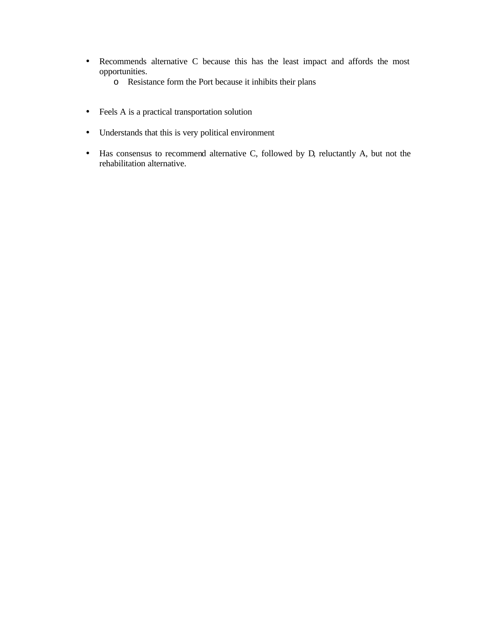- Recommends alternative C because this has the least impact and affords the most opportunities.
	- o Resistance form the Port because it inhibits their plans
- Feels A is a practical transportation solution
- Understands that this is very political environment
- Has consensus to recommend alternative C, followed by D, reluctantly A, but not the rehabilitation alternative.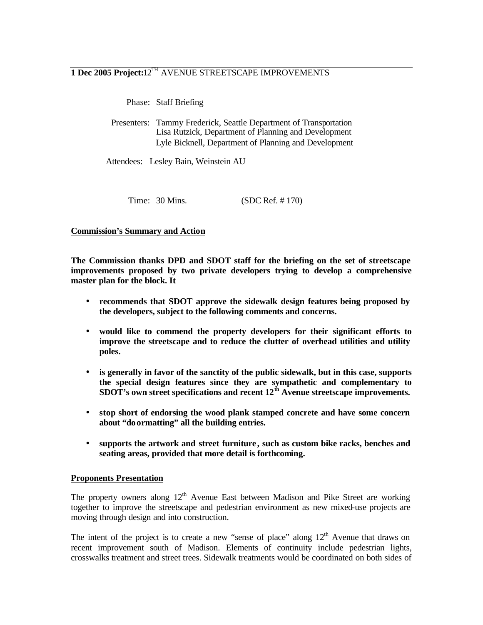# **1 Dec 2005 Project:**12TH AVENUE STREETSCAPE IMPROVEMENTS

Phase: Staff Briefing

 Presenters: Tammy Frederick, Seattle Department of Transportation Lisa Rutzick, Department of Planning and Development Lyle Bicknell, Department of Planning and Development

Attendees: Lesley Bain, Weinstein AU

Time: 30 Mins. (SDC Ref. # 170)

### **Commission's Summary and Action**

**The Commission thanks DPD and SDOT staff for the briefing on the set of streetscape improvements proposed by two private developers trying to develop a comprehensive master plan for the block. It**

- **recommends that SDOT approve the sidewalk design features being proposed by the developers, subject to the following comments and concerns.**
- **would like to commend the property developers for their significant efforts to improve the streetscape and to reduce the clutter of overhead utilities and utility poles.**
- **is generally in favor of the sanctity of the public sidewalk, but in this case, supports the special design features since they are sympathetic and complementary to SDOT's own street specifications and recent 12th Avenue streetscape improvements.**
- **stop short of endorsing the wood plank stamped concrete and have some concern about "doormatting" all the building entries.**
- **supports the artwork and street furniture , such as custom bike racks, benches and seating areas, provided that more detail is forthcoming.**

#### **Proponents Presentation**

The property owners along  $12<sup>th</sup>$  Avenue East between Madison and Pike Street are working together to improve the streetscape and pedestrian environment as new mixed-use projects are moving through design and into construction.

The intent of the project is to create a new "sense of place" along  $12<sup>th</sup>$  Avenue that draws on recent improvement south of Madison. Elements of continuity include pedestrian lights, crosswalks treatment and street trees. Sidewalk treatments would be coordinated on both sides of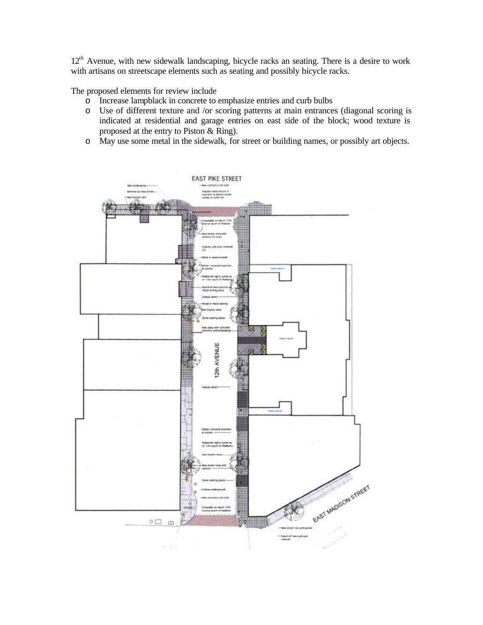12<sup>th</sup> Avenue, with new sidewalk landscaping, bicycle racks an seating. There is a desire to work with artisans on streetscape elements such as seating and possibly bicycle racks.

The proposed elements for review include

- o Increase lampblack in concrete to emphasize entries and curb bulbs
- o Use of different texture and /or scoring patterns at main entrances (diagonal scoring is indicated at residential and garage entries on east side of the block; wood texture is proposed at the entry to Piston & Ring).
- o May use some metal in the sidewalk, for street or building names, or possibly art objects.

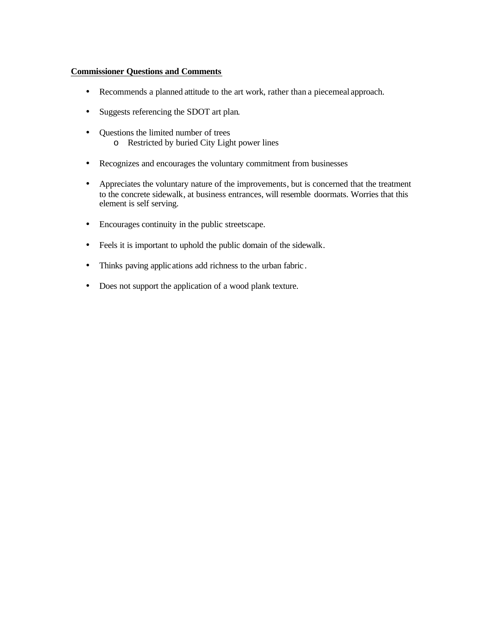- Recommends a planned attitude to the art work, rather than a piecemeal approach.
- Suggests referencing the SDOT art plan.
- Questions the limited number of trees o Restricted by buried City Light power lines
- Recognizes and encourages the voluntary commitment from businesses
- Appreciates the voluntary nature of the improvements, but is concerned that the treatment to the concrete sidewalk, at business entrances, will resemble doormats. Worries that this element is self serving.
- Encourages continuity in the public streetscape.
- Feels it is important to uphold the public domain of the sidewalk.
- Thinks paving applications add richness to the urban fabric .
- Does not support the application of a wood plank texture.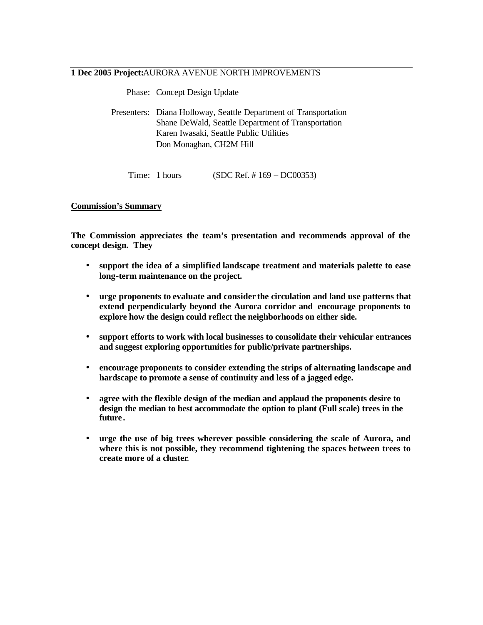#### **1 Dec 2005 Project:**AURORA AVENUE NORTH IMPROVEMENTS

Phase: Concept Design Update

| Priase: Concept Design Update                                                                                                                                                                |
|----------------------------------------------------------------------------------------------------------------------------------------------------------------------------------------------|
| Presenters: Diana Holloway, Seattle Department of Transportation<br>Shane DeWald, Seattle Department of Transportation<br>Karen Iwasaki, Seattle Public Utilities<br>Don Monaghan, CH2M Hill |
|                                                                                                                                                                                              |

Time: 1 hours (SDC Ref. # 169 – DC00353)

#### **Commission's Summary**

**The Commission appreciates the team's presentation and recommends approval of the concept design. They**

- **support the idea of a simplified landscape treatment and materials palette to ease long-term maintenance on the project.**
- **urge proponents to evaluate and consider the circulation and land use patterns that extend perpendicularly beyond the Aurora corridor and encourage proponents to explore how the design could reflect the neighborhoods on either side.**
- **support efforts to work with local businesses to consolidate their vehicular entrances and suggest exploring opportunities for public/private partnerships.**
- **encourage proponents to consider extending the strips of alternating landscape and hardscape to promote a sense of continuity and less of a jagged edge.**
- **agree with the flexible design of the median and applaud the proponents desire to design the median to best accommodate the option to plant (Full scale) trees in the future .**
- **urge the use of big trees wherever possible considering the scale of Aurora, and where this is not possible, they recommend tightening the spaces between trees to create more of a cluster**.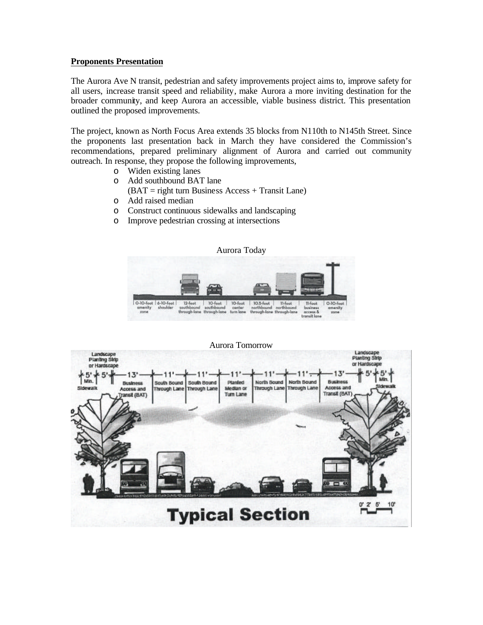#### **Proponents Presentation**

The Aurora Ave N transit, pedestrian and safety improvements project aims to, improve safety for all users, increase transit speed and reliability, make Aurora a more inviting destination for the broader community, and keep Aurora an accessible, viable business district. This presentation outlined the proposed improvements.

The project, known as North Focus Area extends 35 blocks from N110th to N145th Street. Since the proponents last presentation back in March they have considered the Commission's recommendations, prepared preliminary alignment of Aurora and carried out community outreach. In response, they propose the following improvements,

- o Widen existing lanes
- o Add southbound BAT lane
	- $(BAT = right turn Business Access + Transit Lane)$
- o Add raised median
- o Construct continuous sidewalks and landscaping
- o Improve pedestrian crossing at intersections